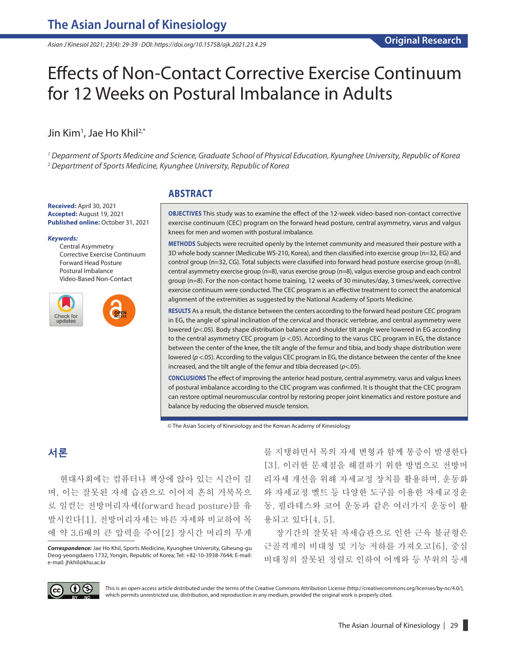*Asian J Kinesiol 2021; 23(4): 29-39 · DOI: https://doi.org/10.15758/ajk.2021.23.4.29*

# Effects of Non-Contact Corrective Exercise Continuum for 12 Weeks on Postural Imbalance in Adults

## Jin Kim<sup>1</sup>, Jae Ho Khil<sup>2,\*</sup>

*1 Deparment of Sports Medicine and Science, Graduate School of Physical Education, Kyunghee University, Republic of Korea 2 Department of Sports Medicine, Kyunghee University, Republic of Korea*

#### **Received:** April 30, 2021 **Accepted:** August 19, 2021 **Published online:** October 31, 2021

#### *Keywords:*

Central Asymmetry Corrective Exercise Continuum Forward Head Posture Postural Imbalance Video-Based Non-Contact



## **ABSTRACT**

**OBJECTIVES** This study was to examine the effect of the 12-week video-based non-contact corrective exercise continuum (CEC) program on the forward head posture, central asymmetry, varus and valgus knees for men and women with postural imbalance.

**METHODS** Subjects were recruited openly by the Internet community and measured their posture with a 3D whole body scanner (Medicube WS-210, Korea), and then classified into exercise group (n=32, EG) and control group (n=32, CG). Total subjects were classified into forward head posture exercise group (n=8), central asymmetry exercise group (n=8), varus exercise group (n=8), valgus exercise group and each control group (n=8). For the non-contact home training, 12 weeks of 30 minutes/day, 3 times/week, corrective exercise continuum were conducted. The CEC program is an effective treatment to correct the anatomical alignment of the extremities as suggested by the National Academy of Sports Medicine.

**RESULTS** As a result, the distance between the centers according to the forward head posture CEC program in EG, the angle of spinal inclination of the cervical and thoracic vertebrae, and central asymmetry were lowered ( $p$ <.05). Body shape distribution balance and shoulder tilt angle were lowered in EG according to the central asymmetry CEC program (*p* <.05). According to the varus CEC program in EG, the distance between the center of the knee, the tilt angle of the femur and tibia, and body shape distribution were lowered ( $p$  <.05). According to the valgus CEC program in EG, the distance between the center of the knee increased, and the tilt angle of the femur and tibia decreased (*p*<.05).

**CONCLUSIONS** The effect of improving the anterior head posture, central asymmetry, varus and valgus knees of postural imbalance according to the CEC program was confirmed. It is thought that the CEC program can restore optimal neuromuscular control by restoring proper joint kinematics and restore posture and balance by reducing the observed muscle tension.

© The Asian Society of Kinesiology and the Korean Academy of Kinesiology

## **서론**

현대사회에는 컴퓨터나 책상에 앉아 있는 시간이 길 며, 이는 잘못된 자세 습관으로 이어져 흔히 거북목으 로 일컫는 전방머리자세(forward head posture)를 유 발시킨다[1]. 전방머리자세는 바른 자세와 비교하여 목 에 약 3.6배의 큰 압력을 주어[2] 장시간 머리의 무게

*Correspondence:* Jae Ho Khil, Sports Medicine, Kyunghee University, Giheung-gu Deog-yeongdaero 1732, Yongin, Republic of Korea; Tel: +82-10-3938-7644; E-mail: e-mail: [jhkhil@khu.ac.kr](mailto:jhkhil@khu.ac.kr)

를 지탱하면서 목의 자세 변형과 함께 통증이 발생한다 [3]. 이러한 문제점을 해결하기 위한 방법으로 전방머 리자세 개선을 위해 자세교정 장치를 활용하며, 운동화 와 자세교정 벨트 등 다양한 도구를 이용한 자세교정운 동, 필라테스와 코어 운동과 같은 여러가지 운동이 활 용되고 있다[4, 5].

장기간의 잘못된 자세습관으로 인한 근육 불균형은 근골격계의 비대칭 및 기능 저하를 가져오고[6], 중심 비대칭의 잘못된 정렬로 인하여 어깨와 등 부위의 등세



This is an open-access article distributed under the terms of the Creative Commons Attribution License (http://creativecommons.org/licenses/by-nc/4.0/), which permits unrestricted use, distribution, and reproduction in any medium, provided the original work is properly cited.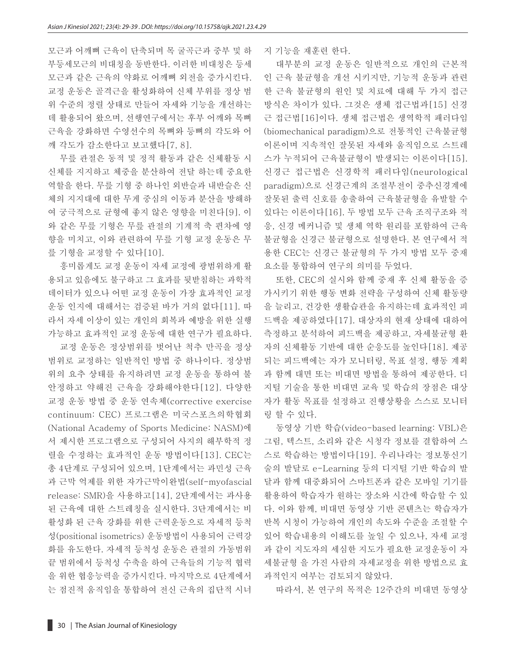모근과 어깨뼈 근육이 단축되며 목 굴곡근과 중부 및 하 부등세모근의 비대칭을 동반한다. 이러한 비대칭은 등세 모근과 같은 근육의 약화로 어깨뼈 외전을 증가시킨다. 교정 운동은 골격근을 활성화하여 신체 부위를 정상 범 위 수준의 정렬 상태로 만들어 자세와 기능을 개선하는 데 활용되어 왔으며, 선행연구에서는 후부 어깨와 목뼈 근육을 강화하면 수영선수의 목뼈와 등뼈의 각도와 어 깨 각도가 감소한다고 보고했다[7, 8].

무릎 관절은 동적 및 정적 활동과 같은 신체활동 시 신체를 지지하고 체중을 분산하여 전달 하는데 중요한 역할을 한다. 무릎 기형 중 하나인 외반슬과 내반슬은 신 체의 지지대에 대한 무게 중심의 이동과 분산을 방해하 여 궁극적으로 균형에 좋지 않은 영향을 미친다[9]. 이 와 같은 무릎 기형은 무릎 관절의 기계적 축 편차에 영 향을 미치고, 이와 관련하여 무릎 기형 교정 운동은 무 릎 기형을 교정할 수 있다[10].

흥미롭게도 교정 운동이 자세 교정에 광범위하게 활 용되고 있음에도 불구하고 그 효과를 뒷받침하는 과학적 데이터가 있으나 어떤 교정 운동이 가장 효과적인 교정 운동 인지에 대해서는 검증된 바가 거의 없다[11]. 따 라서 자세 이상이 있는 개인의 회복과 예방을 위한 실행 가능하고 효과적인 교정 운동에 대한 연구가 필요하다.

교정 운동은 정상범위를 벗어난 척추 만곡을 정상 범위로 교정하는 일반적인 방법 중 하나이다. 정상범 위의 요추 상태를 유지하려면 교정 운동을 통하여 불 안정하고 약해진 근육을 강화해야한다[12]. 다양한 교정 운동 방법 중 운동 연속체(corrective exercise continuum: CEC) 프로그램은 미국스포츠의학협회 (National Academy of Sports Medicine: NASM)에 서 제시한 프로그램으로 구성되어 사지의 해부학적 정 렬을 수정하는 효과적인 운동 방법이다[13]. CEC는 총 4단계로 구성되어 있으며, 1단계에서는 과민성 근육 과 근막 억제를 위한 자가근막이완법(self-myofascial release: SMR)을 사용하고[14], 2단계에서는 과사용 된 근육에 대한 스트레칭을 실시한다. 3단계에서는 비 활성화 된 근육 강화를 위한 근력운동으로 자세적 등척 성(positional isometrics) 운동방법이 사용되어 근력강 화를 유도한다. 자세적 등척성 운동은 관절의 가동범위 끝 범위에서 등척성 수축을 하여 근육들의 기능적 협력 을 위한 협응능력을 증가시킨다. 마지막으로 4단계에서 는 점진적 움직임을 통합하여 전신 근육의 집단적 시너

지 기능을 재훈련 한다.

대부분의 교정 운동은 일반적으로 개인의 근본적 인 근육 불균형을 개선 시키지만, 기능적 운동과 관련 한 근육 불균형의 원인 및 치료에 대해 두 가지 접근 방식은 차이가 있다. 그것은 생체 접근법과[15] 신경 근 접근법[16]이다. 생체 접근법은 생역학적 패러다임 (biomechanical paradigm)으로 전통적인 근육불균형 이론이며 지속적인 잘못된 자세와 움직임으로 스트레 스가 누적되어 근육불균형이 발생되는 이론이다[15]. 신경근 접근법은 신경학적 패러다임(neurological paradigm)으로 신경근계의 조절부전이 중추신경계에 잘못된 출력 신호를 송출하여 근육불균형을 유발할 수 있다는 이론이다[16]. 두 방법 모두 근육 조직구조와 적 응, 신경 메커니즘 및 생체 역학 원리를 포함하여 근육 불균형을 신경근 불균형으로 설명한다. 본 연구에서 적 용한 CEC는 신경근 불균형의 두 가지 방법 모두 중재 요소를 통합하여 연구의 의미를 두었다.

또한, CEC의 실시와 함께 중재 후 신체 활동을 증 가시키기 위한 행동 변화 전략을 구성하여 신체 활동량 을 늘리고, 건강한 생활습관을 유지하는데 효과적인 피 드백을 제공하였다[17]. 대상자의 현재 상태에 대하여 측정하고 분석하여 피드백을 제공하고, 자세불균형 환 자의 신체활동 기반에 대한 순응도를 높인다[18]. 제공 되는 피드백에는 자가 모니터링, 목표 설정, 행동 계획 과 함께 대면 또는 비대면 방법을 통하여 제공한다. 디 지털 기술을 통한 비대면 교육 및 학습의 장점은 대상 자가 활동 목표를 설정하고 진행상황을 스스로 모니터 링 할 수 있다.

동영상 기반 학습(video-based learning: VBL)은 그림, 텍스트, 소리와 같은 시청각 정보를 결합하여 스 스로 학습하는 방법이다[19]. 우리나라는 정보통신기 술의 발달로 e-Learning 등의 디지털 기반 학습의 발 달과 함께 대중화되어 스마트폰과 같은 모바일 기기를 활용하여 학습자가 원하는 장소와 시간에 학습할 수 있 다. 이와 함께, 비대면 동영상 기반 콘텐츠는 학습자가 반복 시청이 가능하여 개인의 속도와 수준을 조절할 수 있어 학습내용의 이해도를 높일 수 있으나, 자세 교정 과 같이 지도자의 세심한 지도가 필요한 교정운동이 자 세불균형 을 가진 사람의 자세교정을 위한 방법으로 효 과적인지 여부는 검토되지 않았다.

따라서, 본 연구의 목적은 12주간의 비대면 동영상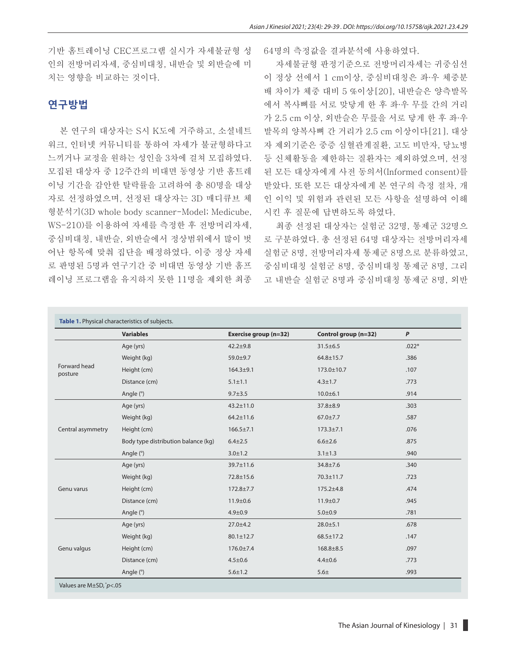기반 홈트레이닝 CEC프로그램 실시가 자세불균형 성 인의 전방머리자세, 중심비대칭, 내반슬 및 외반슬에 미 치는 영향을 비교하는 것이다.

## **연구방법**

본 연구의 대상자는 S시 K도에 거주하고, 소셜네트 워크, 인터넷 커뮤니티를 통하여 자세가 불균형하다고 느끼거나 교정을 원하는 성인을 3차에 걸쳐 모집하였다. 모집된 대상자 중 12주간의 비대면 동영상 기반 홈트레 이닝 기간을 감안한 탈락률을 고려하여 총 80명을 대상 자로 선정하였으며, 선정된 대상자는 3D 매디큐브 체 형분석기(3D whole body scanner-Model; Medicube, WS-210)를 이용하여 자세를 측정한 후 전방머리자세, 중심비대칭, 내반슬, 외반슬에서 정상범위에서 많이 벗 어난 항목에 맞춰 집단을 배정하였다. 이중 정상 자세 로 판명된 5명과 연구기간 중 비대면 동영상 기반 홈프 레이닝 프로그램을 유지하지 못한 11명을 제외한 최종 64명의 측정값을 결과분석에 사용하였다.

자세불균형 판정기준으로 전방머리자세는 귀중심선 이 정상 선에서 1 cm이상, 중심비대칭은 좌∙우 체중분 배 차이가 체중 대비 5 %이상[20], 내반슬은 양측발목 에서 복사뼈를 서로 맞닿게 한 후 좌∙우 무릎 간의 거리 가 2.5 cm 이상, 외반슬은 무릎을 서로 닿게 한 후 좌∙우 발목의 양복사뼈 간 거리가 2.5 cm 이상이다[21]. 대상 자 제외기준은 중증 심혈관계질환, 고도 비만자, 당뇨병 등 신체활동을 제한하는 질환자는 제외하였으며, 선정 된 모든 대상자에게 사전 동의서(Informed consent)를 받았다. 또한 모든 대상자에게 본 연구의 측정 절차, 개 인 이익 및 위험과 관련된 모든 사항을 설명하여 이해 시킨 후 질문에 답변하도록 하였다.

최종 선정된 대상자는 실험군 32명, 통제군 32명으 로 구분하였다. 총 선정된 64명 대상자는 전방머리자세 실험군 8명, 전방머리자세 통제군 8명으로 분류하였고, 중심비대칭 실험군 8명, 중심비대칭 통제군 8명, 그리 고 내반슬 실험군 8명과 중심비대칭 통제군 8명, 외반

|                         | <b>Variables</b>                    | Exercise group (n=32) | Control group (n=32) | $\boldsymbol{P}$ |
|-------------------------|-------------------------------------|-----------------------|----------------------|------------------|
|                         | Age (yrs)                           | $42.2 + 9.8$          | $31.5 \pm 6.5$       | $.022*$          |
| Forward head<br>posture | Weight (kg)                         | 59.0±9.7              | $64.8 \pm 15.7$      | .386             |
|                         | Height (cm)                         | $164.3 + 9.1$         | 173.0±10.7           | .107             |
|                         | Distance (cm)                       | $5.1 \pm 1.1$         | $4.3 \pm 1.7$        | .773             |
|                         | Angle (°)                           | $9.7 \pm 3.5$         | $10.0 + 6.1$         | .914             |
| Central asymmetry       | Age (yrs)                           | $43.2 \pm 11.0$       | $37.8 + 8.9$         | .303             |
|                         | Weight (kg)                         | $64.2 \pm 11.6$       | $67.0 \pm 7.7$       | .587             |
|                         | Height (cm)                         | $166.5 \pm 7.1$       | $173.3 \pm 7.1$      | .076             |
|                         | Body type distribution balance (kg) | $6.4 \pm 2.5$         | $6.6 \pm 2.6$        | .875             |
|                         | Angle (°)                           | $3.0 \pm 1.2$         | $3.1 \pm 1.3$        | .940             |
|                         | Age (yrs)                           | 39.7±11.6             | $34.8 \pm 7.6$       | .340             |
|                         | Weight (kg)                         | 72.8±15.6             | 70.3±11.7            | .723             |
| Genu varus              | Height (cm)                         | $172.8 \pm 7.7$       | $175.2 \pm 4.8$      | .474             |
|                         | Distance (cm)                       | $11.9 \pm 0.6$        | $11.9 \pm 0.7$       | .945             |
|                         | Angle (°)                           | $4.9 \pm 0.9$         | $5.0 + 0.9$          | .781             |
|                         | Age (yrs)                           | $27.0 + 4.2$          | $28.0 \pm 5.1$       | .678             |
|                         | Weight (kg)                         | $80.1 \pm 12.7$       | $68.5 \pm 17.2$      | .147             |
| Genu valgus             | Height (cm)                         | 176.0±7.4             | $168.8 \pm 8.5$      | .097             |
|                         | Distance (cm)                       | $4.5 \pm 0.6$         | $4.4 \pm 0.6$        | .773             |
|                         | Angle (°)                           | $5.6 \pm 1.2$         | 5.6 <sub>±</sub>     | .993             |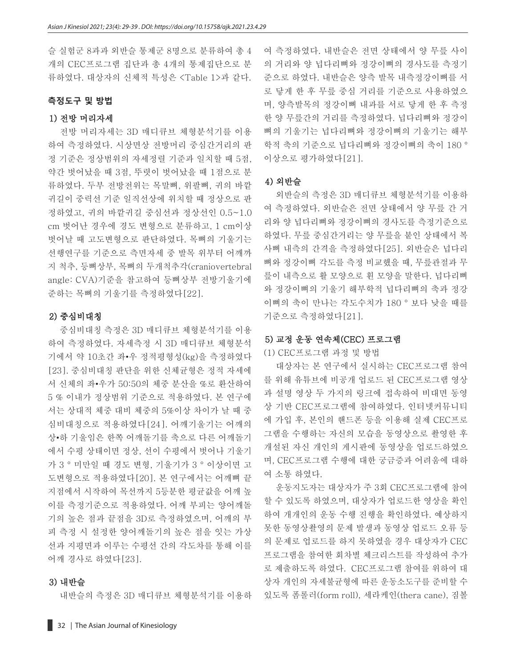슬 실험군 8과과 외반슬 통제군 8명으로 분류하여 총 4 개의 CEC프로그램 집단과 총 4개의 통제집단으로 분 류하였다. 대상자의 신체적 특성은 <Table 1>과 같다.

#### **측정도구 및 방법**

#### 1) 전방 머리자세

전방 머리자세는 3D 매디큐브 체형분석기를 이용 하여 측정하였다. 시상면상 전방머리 중심간거리의 판 정 기준은 정상범위의 자세정렬 기준과 일치할 때 5점, 약간 벗어났을 때 3점, 뚜렷이 벗어났을 때 1점으로 분 류하였다. 두부 전방전위는 목말뼈, 위팔뼈, 귀의 바깥 귀길이 중력선 기준 일직선상에 위치할 때 정상으로 판 정하였고, 귀의 바깥귀길 중심선과 정상선인 0.5~1.0 cm 벗어난 경우에 경도 변형으로 분류하고, 1 cm이상 벗어날 때 고도변형으로 판단하였다. 목뼈의 기울기는 선행연구를 기준으로 측면자세 중 발목 위부터 어깨까 지 척추, 등뼈상부, 목뼈의 두개척추각(craniovertebral angle: CVA)기준을 참고하여 등뼈상부 전방기울기에 준하는 목뼈의 기울기를 측정하였다[22].

#### 2) 중심비대칭

중심비대칭 측정은 3D 매디큐브 체형분석기를 이용 하여 측정하였다. 자세측정 시 3D 매디큐브 체형분석 기에서 약 10초간 좌•우 정적평형성(kg)을 측정하였다 [23]. 중심비대칭 판단을 위한 신체균형은 정적 자세에 서 신체의 좌•우가 50:50의 체중 분산을 %로 환산하여 5 % 이내가 정상범위 기준으로 적용하였다. 본 연구에 서는 상대적 체중 대비 체중의 5%이상 차이가 날 때 중 심비대칭으로 적용하였다[24]. 어깨기울기는 어깨의 상•하 기울임은 한쪽 어깨돌기를 축으로 다른 어깨돌기 에서 수평 상태이면 정상, 선이 수평에서 벗어나 기울기 가 3 ° 미만일 때 경도 변형, 기울기가 3 ° 이상이면 고 도변형으로 적용하였다[20]. 본 연구에서는 어깨뼈 끝 지점에서 시작하여 목선까지 5등분한 평균값을 어깨 높 이를 측정기준으로 적용하였다. 어깨 부피는 양어깨돌 기의 높은 점과 끝점을 3D로 측정하였으며, 어깨의 부 피 측정 시 설정한 양어깨돌기의 높은 점을 잇는 가상 선과 지평면과 이루는 수평선 간의 각도차를 통해 이를 어깨 경사로 하였다[23].

#### 3) 내반슬

내반슬의 측정은 3D 매디큐브 체형분석기를 이용하

여 측정하였다. 내반슬은 전면 상태에서 양 무릎 사이 의 거리와 양 넙다리뼈와 정강이뼈의 경사도를 측정기 준으로 하였다. 내반슬은 양측 발목 내측정강이뼈를 서 로 닿게 한 후 무릎 중심 거리를 기준으로 사용하였으 며, 양측발목의 정강이뼈 내과를 서로 닿게 한 후 측정 한 양 무릎간의 거리를 측정하였다. 넙다리뼈와 정강이 뼈의 기울기는 넙다리뼈와 정강이뼈의 기울기는 해부 학적 축의 기준으로 넙다리뼈와 정강이뼈의 축이 180 ° 이상으로 평가하였다[21].

#### 4) 외반슬

외반슬의 측정은 3D 매디큐브 체형분석기를 이용하 여 측정하였다. 외반슬은 전면 상태에서 양 무릎 간 거 리와 양 넙다리뼈와 정강이뼈의 경사도를 측정기준으로 하였다. 무릎 중심간거리는 양 무릎을 붙인 상태에서 복 사뼈 내측의 간격을 측정하였다[25]. 외반슬은 넙다리 뼈와 정강이뼈 각도를 측정 비교했을 때, 무릎관절과 무 릎이 내측으로 활 모양으로 휜 모양을 말한다. 넙다리뼈 와 정강이뼈의 기울기 해부학적 넙다리뼈의 축과 정강 이뼈의 축이 만나는 각도수치가 180 ° 보다 낮을 때를 기준으로 측정하였다[21].

#### 5) 교정 운동 연속체(CEC) 프로그램

(1) CEC프로그램 과정 및 방법

대상자는 본 연구에서 실시하는 CEC프로그램 참여 를 위해 유튜브에 비공개 업로드 된 CEC프로그램 영상 과 설명 영상 두 가지의 링크에 접속하여 비대면 동영 상 기반 CEC프로그램에 참여하였다. 인터넷커뮤니티 에 가입 후, 본인의 핸드폰 등을 이용해 실제 CEC프로 그램을 수행하는 자신의 모습을 동영상으로 촬영한 후 개설된 자신 개인의 게시판에 동영상을 업로드하였으 며, CEC프로그램 수행에 대한 궁금증과 어려움에 대하 여 소통 하였다.

운동지도자는 대상자가 주 3회 CEC프로그램에 참여 할 수 있도록 하였으며, 대상자가 업로드한 영상을 확인 하여 개개인의 운동 수행 진행을 확인하였다. 예상하지 못한 동영상촬영의 문제 발생과 동영상 업로드 오류 등 의 문제로 업로드를 하지 못하였을 경우 대상자가 CEC 프로그램을 참여한 회차별 체크리스트를 작성하여 추가 로 제출하도록 하였다. CEC프로그램 참여를 위하여 대 상자 개인의 자세불균형에 따른 운동소도구를 준비할 수 있도록 폼롤러(form roll), 세라케인(thera cane), 짐볼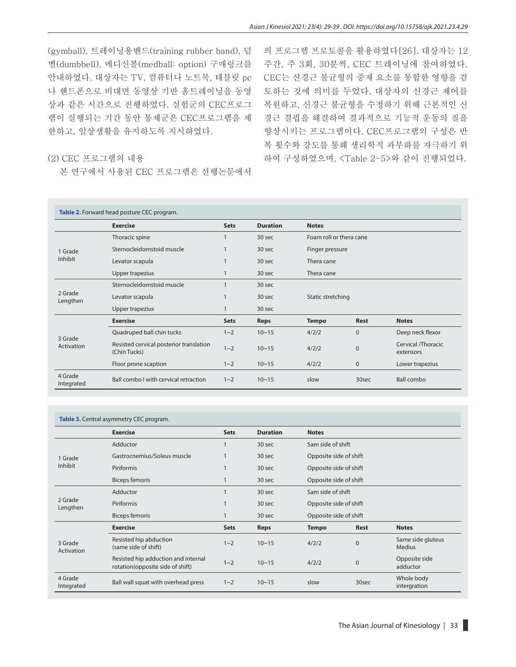의 프로그램 프로토콜을 활용하였다[26]. 대상자는 12

(gymball), 트레이닝용밴드(training rubber band), 덤 벨(dumbbell), 메디신볼(medball: option) 구매링크를 안내하였다. 대상자는 TV, 컴퓨터나 노트북, 테블릿 pc 나 핸드폰으로 비대면 동영상 기반 홈트레이닝을 동영 상과 같은 시간으로 진행하였다. 실험군의 CEC프로그 램이 실행되는 기간 동안 통제군은 CEC프로그램을 제 한하고, 일상생활을 유지하도록 지시하였다.

# 주간, 주 3회, 30분씩, CEC 트레이닝에 참여하였다. CEC는 신경근 불균형의 중재 요소를 통합한 영향을 검 토하는 것에 의미를 두었다. 대상자의 신경근 제어를 복원하고, 신경근 불균형을 수정하기 위해 근본적인 신 경근 결핍을 해결하여 결과적으로 기능적 운동의 질을 향상시키는 프로그램이다. CEC프로그램의 구성은 반 복 횟수와 강도를 통해 생리학적 과부하를 자극하기 위 하여 구성하였으며, <Table 2-5>와 같이 진행되었다.

#### (2) CEC 프로그램의 내용

본 연구에서 사용된 CEC 프로그램은 선행논문에서

| Table 2. Forward head posture CEC program. |                                                         |             |                   |                         |              |                                 |  |  |
|--------------------------------------------|---------------------------------------------------------|-------------|-------------------|-------------------------|--------------|---------------------------------|--|--|
|                                            | <b>Exercise</b>                                         | <b>Sets</b> | <b>Duration</b>   | <b>Notes</b>            |              |                                 |  |  |
|                                            | Thoracic spine                                          | 1           | 30 sec            | Foam roll or thera cane |              |                                 |  |  |
| 1 Grade<br>Inhibit                         | Sternocleidomstoid muscle                               |             | 30 <sub>sec</sub> | Finger pressure         |              |                                 |  |  |
|                                            | Levator scapula                                         |             | 30 <sub>sec</sub> | Thera cane              |              |                                 |  |  |
|                                            | Upper trapezius                                         |             | 30 <sub>sec</sub> | Thera cane              |              |                                 |  |  |
| 2 Grade<br>Lengthen                        | Sternocleidomstoid muscle                               |             | 30 <sub>sec</sub> |                         |              |                                 |  |  |
|                                            | Levator scapula                                         |             | 30 <sub>sec</sub> | Static stretching       |              |                                 |  |  |
|                                            | Upper trapezius                                         |             | 30 <sub>sec</sub> |                         |              |                                 |  |  |
|                                            | <b>Exercise</b>                                         | <b>Sets</b> | <b>Reps</b>       | <b>Tempo</b>            | Rest         | <b>Notes</b>                    |  |  |
|                                            | Quadruped ball chin tucks                               | $1 - 2$     | $10 - 15$         | 4/2/2                   | $\Omega$     | Deep neck flexor                |  |  |
| 3 Grade<br>Activation                      | Resisted cervical posterior translation<br>(Chin Tucks) | $1 - 2$     | $10 - 15$         | 4/2/2                   | $\mathbf{0}$ | Cervical /Thoracic<br>extensors |  |  |
|                                            | Floor prone scaption                                    | $1 - 2$     | $10 - 15$         | 4/2/2                   | $\mathbf{0}$ | Lower trapezius                 |  |  |
| 4 Grade<br>Integrated                      | Ball combo I with cervical retraction                   | $1 - 2$     | $10 - 15$         | slow                    | 30sec        | <b>Ball combo</b>               |  |  |

| Table 3. Central asymmetry CEC program. |  |  |
|-----------------------------------------|--|--|
|-----------------------------------------|--|--|

|                       | <b>Exercise</b>                                                         | <b>Sets</b> | <b>Duration</b> | <b>Notes</b>           |              |                                    |
|-----------------------|-------------------------------------------------------------------------|-------------|-----------------|------------------------|--------------|------------------------------------|
|                       | Adductor                                                                |             | 30 sec          | Sam side of shift      |              |                                    |
| 1 Grade<br>Inhibit    | Gastrocnemius/Soleus muscle                                             |             | 30 sec          | Opposite side of shift |              |                                    |
|                       | Piriformis                                                              |             | 30 sec          | Opposite side of shift |              |                                    |
|                       | <b>Biceps femoris</b>                                                   |             | 30 sec          | Opposite side of shift |              |                                    |
| 2 Grade<br>Lengthen   | Adductor                                                                |             | 30 sec          | Sam side of shift      |              |                                    |
|                       | Piriformis                                                              |             | 30 sec          | Opposite side of shift |              |                                    |
|                       | <b>Biceps femoris</b>                                                   |             | 30 sec          | Opposite side of shift |              |                                    |
|                       | <b>Exercise</b>                                                         | <b>Sets</b> | <b>Reps</b>     | <b>Tempo</b>           | <b>Rest</b>  | <b>Notes</b>                       |
| 3 Grade<br>Activation | Resisted hip abduction<br>(same side of shift)                          | $1 - 2$     | $10 - 15$       | 4/2/2                  | $\mathbf{0}$ | Same side gluteus<br><b>Medius</b> |
|                       | Resisted hip adduction and internal<br>rotation(opposite side of shift) | $1 - 2$     | $10 - 15$       | 4/2/2                  | $\mathbf{0}$ | Opposite side<br>adductor          |
| 4 Grade<br>Integrated | Ball wall squat with overhead press                                     | $1 - 2$     | $10 - 15$       | slow                   | 30sec        | Whole body<br>intergration         |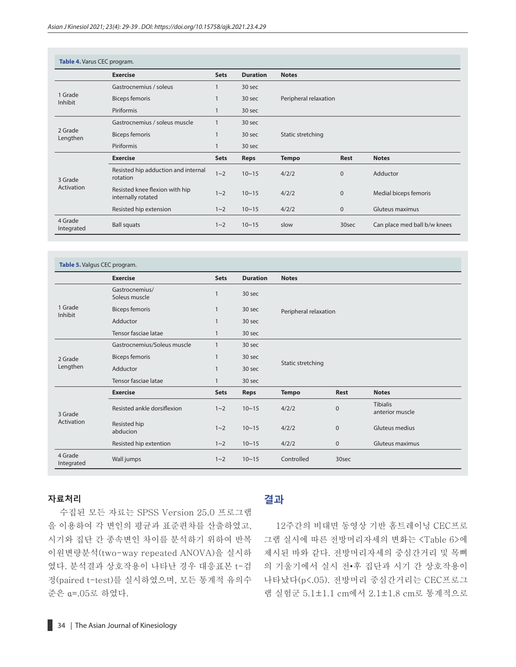| Table 4. Varus CEC program. |                                                      |              |                 |                       |              |                              |  |  |
|-----------------------------|------------------------------------------------------|--------------|-----------------|-----------------------|--------------|------------------------------|--|--|
|                             | <b>Exercise</b>                                      | <b>Sets</b>  | <b>Duration</b> | <b>Notes</b>          |              |                              |  |  |
| 1 Grade<br>Inhibit          | Gastrocnemius / soleus                               |              | 30 sec          |                       |              |                              |  |  |
|                             | <b>Biceps femoris</b>                                |              | 30 sec          | Peripheral relaxation |              |                              |  |  |
|                             | Piriformis                                           |              | 30 sec          |                       |              |                              |  |  |
| 2 Grade<br>Lengthen         | Gastrocnemius / soleus muscle                        | $\mathbf{1}$ | 30 sec          |                       |              |                              |  |  |
|                             | Biceps femoris                                       |              | 30 sec          | Static stretching     |              |                              |  |  |
|                             | Piriformis                                           | $\mathbf{1}$ | 30 sec          |                       |              |                              |  |  |
|                             | <b>Exercise</b>                                      | <b>Sets</b>  | <b>Reps</b>     | <b>Tempo</b>          | Rest         | <b>Notes</b>                 |  |  |
| 3 Grade                     | Resisted hip adduction and internal<br>rotation      | $1 - 2$      | $10 - 15$       | 4/2/2                 | $\Omega$     | Adductor                     |  |  |
| Activation                  | Resisted knee flexion with hip<br>internally rotated | $1 - 2$      | $10 - 15$       | 4/2/2                 | $\Omega$     | Medial biceps femoris        |  |  |
|                             | Resisted hip extension                               | $1 - 2$      | $10 - 15$       | 4/2/2                 | $\mathbf{0}$ | Gluteus maximus              |  |  |
| 4 Grade<br>Integrated       | <b>Ball squats</b>                                   | $1 - 2$      | $10 - 15$       | slow                  | 30sec        | Can place med ball b/w knees |  |  |

| Table 5. Valgus CEC program. |                                 |              |                 |                       |                       |                                    |  |  |  |
|------------------------------|---------------------------------|--------------|-----------------|-----------------------|-----------------------|------------------------------------|--|--|--|
|                              | <b>Exercise</b>                 | <b>Sets</b>  | <b>Duration</b> | <b>Notes</b>          |                       |                                    |  |  |  |
| 1 Grade<br>Inhibit           | Gastrocnemius/<br>Soleus muscle | $\mathbf{1}$ | 30 sec          |                       |                       |                                    |  |  |  |
|                              | <b>Biceps femoris</b>           | $\mathbf{1}$ | 30 sec          |                       | Peripheral relaxation |                                    |  |  |  |
|                              | Adductor                        | $\mathbf{1}$ | 30 sec          |                       |                       |                                    |  |  |  |
|                              | Tensor fasciae latae            | $\mathbf{1}$ | 30 sec          |                       |                       |                                    |  |  |  |
| 2 Grade                      | Gastrocnemius/Soleus muscle     | $\mathbf{1}$ | 30 sec          |                       |                       |                                    |  |  |  |
|                              | <b>Biceps femoris</b>           | $\mathbf{1}$ | 30 sec          | Static stretching     |                       |                                    |  |  |  |
| Lengthen                     | Adductor                        | $\mathbf{1}$ | 30 sec          |                       |                       |                                    |  |  |  |
|                              | Tensor fasciae latae            | $\mathbf{1}$ | 30 sec          |                       |                       |                                    |  |  |  |
|                              | <b>Exercise</b>                 | <b>Sets</b>  | <b>Reps</b>     | <b>Tempo</b>          | <b>Rest</b>           | <b>Notes</b>                       |  |  |  |
| 3 Grade                      | Resisted ankle dorsiflexion     | $1 - 2$      | $10 - 15$       | 4/2/2<br>$\mathbf{0}$ |                       | <b>Tibialis</b><br>anterior muscle |  |  |  |
| Activation                   | Resisted hip<br>abducion        | $1 - 2$      | $10 - 15$       | 4/2/2<br>$\mathbf{0}$ |                       | Gluteus medius                     |  |  |  |
|                              | Resisted hip extention          | $1 - 2$      | $10 - 15$       | 4/2/2                 | $\mathbf 0$           | Gluteus maximus                    |  |  |  |
| 4 Grade<br>Integrated        | Wall jumps                      | $1 - 2$      | $10 - 15$       | Controlled            | 30sec                 |                                    |  |  |  |

#### **자료처리**

수집된 모든 자료는 SPSS Version 25.0 프로그램 을 이용하여 각 변인의 평균과 표준편차를 산출하였고, 시기와 집단 간 종속변인 차이를 분석하기 위하여 반복 이원변량분석(two-way repeated ANOVA)을 실시하 였다. 분석결과 상호작용이 나타난 경우 대응표본 t-검 정(paired t-test)를 실시하였으며, 모든 통계적 유의수 준은 α=.05로 하였다.

## **결과**

12주간의 비대면 동영상 기반 홈트레이닝 CEC프로 그램 실시에 따른 전방머리자세의 변화는 <Table 6>에 제시된 바와 같다. 전방머리자세의 중심간거리 및 목뼈 의 기울기에서 실시 전•후 집단과 시기 간 상호작용이 나타났다(p<.05). 전방머리 중심간거리는 CEC프로그 램 실험군 5.1±1.1 cm에서 2.1±1.8 cm로 통계적으로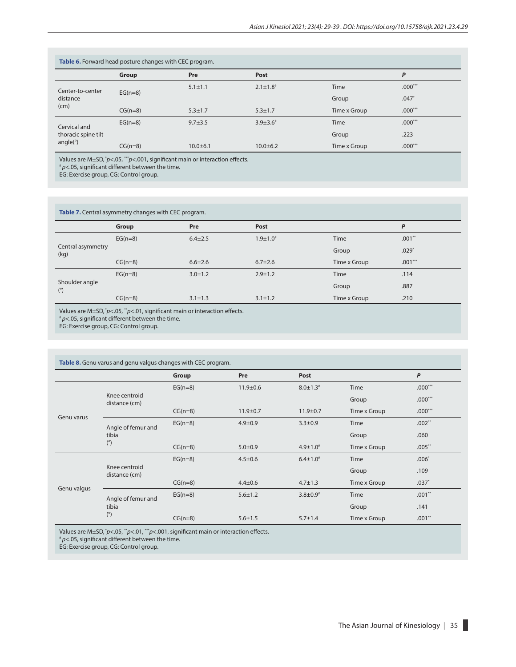| Table 6. Forward head posture changes with CEC program. |           |               |                 |              |           |  |  |  |
|---------------------------------------------------------|-----------|---------------|-----------------|--------------|-----------|--|--|--|
|                                                         | Group     | Pre           | Post            |              | P         |  |  |  |
| Center-to-center<br>distance<br>(cm)                    |           | $5.1 \pm 1.1$ | $2.1 \pm 1.8$ # | Time         | $.000***$ |  |  |  |
|                                                         | $EG(n=8)$ |               |                 | Group        | $.047*$   |  |  |  |
|                                                         | $CG(n=8)$ | $5.3 \pm 1.7$ | $5.3 \pm 1.7$   | Time x Group | $.000***$ |  |  |  |
| Cervical and                                            | $EG(n=8)$ | $9.7 + 3.5$   | $3.9 \pm 3.6^*$ | Time         | $.000***$ |  |  |  |
| thoracic spine tilt<br>angle(°)                         |           |               |                 | Group        | .223      |  |  |  |
|                                                         | $CG(n=8)$ | $10.0 + 6.1$  | $10.0 + 6.2$    | Time x Group | $.000***$ |  |  |  |

Values are M±SD,  $p$ <.05, \*\*\* $p$ <.001, significant main or interaction effects.

#  *p*<.05, significant different between the time.

EG: Exercise group, CG: Control group.

**Table 7.** Central asymmetry changes with CEC program.

|                              | Group     | Pre           | Post            |              | P         |
|------------------------------|-----------|---------------|-----------------|--------------|-----------|
|                              | $EG(n=8)$ | $6.4 \pm 2.5$ | $1.9 \pm 1.0$ # | Time         | $.001**$  |
| Central asymmetry<br>(kg)    |           |               |                 | Group        | $.029*$   |
|                              | $CG(n=8)$ | $6.6 \pm 2.6$ | $6.7 \pm 2.6$   | Time x Group | $.001***$ |
|                              | $EG(n=8)$ | $3.0 \pm 1.2$ | $2.9 \pm 1.2$   | Time         | .114      |
| Shoulder angle<br>$(^\circ)$ |           |               |                 | Group        | .887      |
|                              | $CG(n=8)$ | $3.1 \pm 1.3$ | $3.1 \pm 1.2$   | Time x Group | .210      |

Values are M±SD,  $p$ <.05,  $p$ <sup>\*</sup> $p$ <.01, significant main or interaction effects.

#  *p*<.05, significant different between the time.

EG: Exercise group, CG: Control group.

| Table 8. Genu varus and genu valgus changes with CEC program. |                                |           |                |                 |              |           |  |  |  |
|---------------------------------------------------------------|--------------------------------|-----------|----------------|-----------------|--------------|-----------|--|--|--|
|                                                               |                                | Group     | Pre            | Post            |              | P         |  |  |  |
| Genu varus                                                    |                                | $EG(n=8)$ | $11.9 \pm 0.6$ | $8.0 \pm 1.3^*$ | Time         | $.000***$ |  |  |  |
|                                                               | Knee centroid<br>distance (cm) |           |                |                 | Group        | $.000***$ |  |  |  |
|                                                               |                                | $CG(n=8)$ | $11.9 \pm 0.7$ | $11.9 + 0.7$    | Time x Group | $.000***$ |  |  |  |
|                                                               | Angle of femur and             | $EG(n=8)$ | $4.9 \pm 0.9$  | $3.3 \pm 0.9$   | Time         | $.002**$  |  |  |  |
|                                                               | tibia                          |           |                |                 | Group        | .060      |  |  |  |
|                                                               | (°)                            | $CG(n=8)$ | $5.0 + 0.9$    | $4.9 \pm 1.0^*$ | Time x Group | .005      |  |  |  |
|                                                               |                                | $EG(n=8)$ | $4.5 \pm 0.6$  | $6.4 \pm 1.0^*$ | Time         | $.006*$   |  |  |  |
|                                                               | Knee centroid<br>distance (cm) |           |                |                 | Group        | .109      |  |  |  |
|                                                               |                                | $CG(n=8)$ | $4.4 \pm 0.6$  | $4.7 \pm 1.3$   | Time x Group | $.037*$   |  |  |  |
| Genu valgus                                                   | Angle of femur and             | $EG(n=8)$ | $5.6 \pm 1.2$  | $3.8 \pm 0.9$   | Time         | $.001**$  |  |  |  |
|                                                               | tibia                          |           |                |                 | Group        | .141      |  |  |  |
|                                                               | $(^\circ)$                     | $CG(n=8)$ | $5.6 \pm 1.5$  | $5.7 \pm 1.4$   | Time x Group | $.001**$  |  |  |  |

Values are M±SD,  $p$ <.05,  $\frac{p}{p}$ <.01,  $\frac{p}{p}$ <.001, significant main or interaction effects. #  *p*<.05, significant different between the time.

EG: Exercise group, CG: Control group.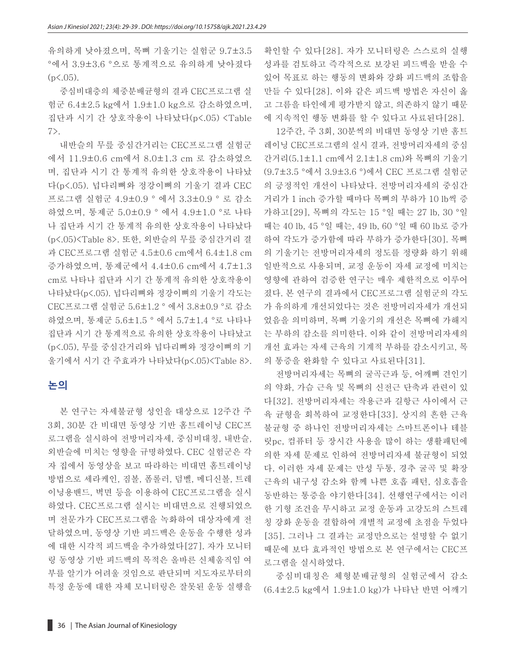유의하게 낮아졌으며, 목뼈 기울기는 실험군 9.7±3.5 °에서 3.9±3.6 °으로 통계적으로 유의하게 낮아졌다  $(p<.05)$ .

중심비대층의 체중분배균형의 결과 CEC프로그램 실 험군 6.4±2.5 kg에서 1.9±1.0 kg으로 감소하였으며, 집단과 시기 간 상호작용이 나타났다(p<.05) <Table 7>.

내반슬의 무릎 중심간거리는 CEC프로그램 실험군 에서 11.9±0.6 cm에서 8.0±1.3 cm 로 감소하였으 며, 집단과 시기 간 통계적 유의한 상호작용이 나타났 다(p<.05). 넙다리뼈와 정강이뼈의 기울기 결과 CEC 프로그램 실험군 4.9±0.9 ° 에서 3.3±0.9 ° 로 감소 하였으며, 통제군 5.0±0.9 ° 에서 4.9±1.0 °로 나타 나 집단과 시기 간 통계적 유의한 상호작용이 나타났다 (p<.05)<Table 8>. 또한, 외반슬의 무릎 중심간거리 결 과 CEC프로그램 실험군 4.5±0.6 cm에서 6.4±1.8 cm 증가하였으며, 통제군에서 4.4±0.6 cm에서 4.7±1.3 cm로 나타나 집단과 시기 간 통계적 유의한 상호작용이 나타났다(p<.05). 넙다리뼈와 정강이뼈의 기울기 각도는 CEC프로그램 실험군 5.6±1.2 ° 에서 3.8±0.9 °로 감소 하였으며, 통제군 5.6±1.5 ° 에서 5.7±1.4 °로 나타나 집단과 시기 간 통계적으로 유의한 상호작용이 나타났고 (p<.05), 무릎 중심간거리와 넙다리뼈와 정강이뼈의 기 울기에서 시기 간 주효과가 나타났다(p<.05)<Table 8>.

### **논의**

본 연구는 자세불균형 성인을 대상으로 12주간 주 3회, 30분 간 비대면 동영상 기반 홈트레이닝 CEC프 로그램을 실시하여 전방머리자세, 중심비대칭, 내반슬, 외반슬에 미치는 영향을 규명하였다. CEC 실험군은 각 자 집에서 동영상을 보고 따라하는 비대면 홈트레이닝 방법으로 세라케인, 짐볼, 폼롤러, 덤벨, 메디신볼, 트레 이닝용밴드, 벽면 등을 이용하여 CEC프로그램을 실시 하였다. CEC프로그램 실시는 비대면으로 진행되었으 며 전문가가 CEC프로그램을 녹화하여 대상자에게 전 달하였으며, 동영상 기반 피드백은 운동을 수행한 성과 에 대한 시각적 피드백을 추가하였다[27]. 자가 모니터 링 동영상 기반 피드백의 목적은 올바른 신체움직임 여 부를 알기가 어려울 것임으로 판단되며 지도자로부터의 특정 운동에 대한 자체 모니터링은 잘못된 운동 실행을

확인할 수 있다[28]. 자가 모니터링은 스스로의 실행 성과를 검토하고 즉각적으로 보강된 피드백을 받을 수 있어 목표로 하는 행동의 변화와 강화 피드백의 조합을 만들 수 있다[28]. 이와 같은 피드백 방법은 자신이 옳 고 그름을 타인에게 평가받지 않고, 의존하지 않기 때문 에 지속적인 행동 변화를 할 수 있다고 사료된다[28].

12주간, 주 3회, 30분씩의 비대면 동영상 기반 홈트 레이닝 CEC프로그램의 실시 결과, 전방머리자세의 중심 간거리(5.1±1.1 cm에서 2.1±1.8 cm)와 목뼈의 기울기 (9.7±3.5 °에서 3.9±3.6 °)에서 CEC 프로그램 실험군 의 긍정적인 개선이 나타났다. 전방머리자세의 중심간 거리가 1 inch 증가할 때마다 목뼈의 부하가 10 lb씩 증 가하고[29], 목뼈의 각도는 15 °일 때는 27 lb, 30 °일 때는 40 lb, 45 °일 때는, 49 lb, 60 °일 때 60 lb로 증가 하여 각도가 증가함에 따라 부하가 증가한다[30]. 목뼈 의 기울기는 전방머리자세의 정도를 정량화 하기 위해 일반적으로 사용되며, 교정 운동이 자세 교정에 미치는 영향에 관하여 검증한 연구는 매우 제한적으로 이루어 졌다. 본 연구의 결과에서 CEC프로그램 실험군의 각도 가 유의하게 개선되었다는 것은 전방머리자세가 개선되 었음을 의미하며, 목뼈 기울기의 개선은 목뼈에 가해지 는 부하의 감소를 의미한다. 이와 같이 전방머리자세의 개선 효과는 자세 근육의 기계적 부하를 감소시키고, 목 의 통증을 완화할 수 있다고 사료된다[31].

전방머리자세는 목뼈의 굴곡근과 등, 어깨뼈 견인기 의 약화, 가슴 근육 및 목뼈의 신전근 단축과 관련이 있 다[32]. 전방머리자세는 작용근과 길항근 사이에서 근 육 균형을 회복하여 교정한다[33]. 상지의 흔한 근육 불균형 중 하나인 전방머리자세는 스마트폰이나 테블 릿pc, 컴퓨터 등 장시간 사용을 많이 하는 생활패턴에 의한 자세 문제로 인하여 전방머리자세 불균형이 되었 다. 이러한 자세 문제는 만성 두통, 경추 굴곡 및 확장 근육의 내구성 감소와 함께 나쁜 호흡 패턴, 심호흡을 동반하는 통증을 야기한다[34]. 선행연구에서는 이러 한 기형 조건을 무시하고 교정 운동과 고강도의 스트레 칭 강화 운동을 결합하여 개별적 교정에 초점을 두었다 [35]. 그러나 그 결과는 교정만으로는 설명할 수 없기 때문에 보다 효과적인 방법으로 본 연구에서는 CEC프 로그램을 실시하였다.

중심비대칭은 체형분배균형의 실험군에서 감소 (6.4±2.5 kg에서 1.9±1.0 kg)가 나타난 반면 어깨기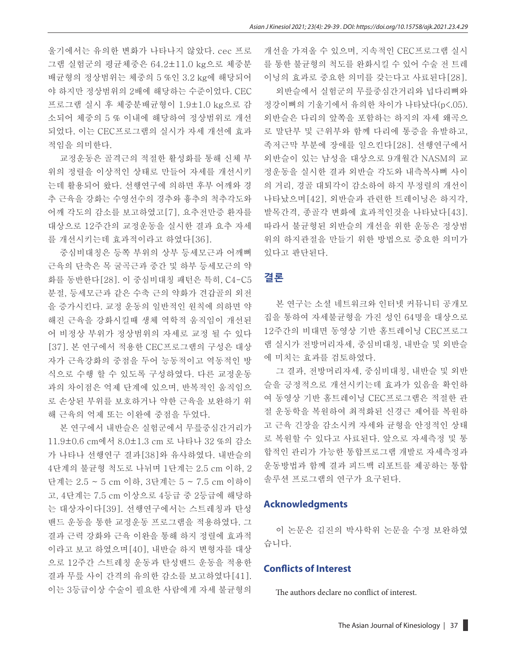울기에서는 유의한 변화가 나타나지 않았다. cec 프로 그램 실험군의 평균체중은 64.2±11.0 kg으로 체중분 배균형의 정상범위는 체중의 5 %인 3.2 kg에 해당되어 야 하지만 정상범위의 2배에 해당하는 수준이었다. CEC 프로그램 실시 후 체중분배균형이 1.9±1.0 kg으로 감 소되어 체중의 5 % 이내에 해당하여 정상범위로 개선 되었다. 이는 CEC프로그램의 실시가 자세 개선에 효과 적임을 의미한다.

교정운동은 골격근의 적절한 활성화를 통해 신체 부 위의 정렬을 이상적인 상태로 만들어 자세를 개선시키 는데 활용되어 왔다. 선행연구에 의하면 후부 어깨와 경 추 근육을 강화는 수영선수의 경추와 흉추의 척추각도와 어깨 각도의 감소를 보고하였고[7], 요추전만증 환자를 대상으로 12주간의 교정운동을 실시한 결과 요추 자세 를 개선시키는데 효과적이라고 하였다[36].

중심비대칭은 등쪽 부위의 상부 등세모근과 어깨뼈 근육의 단축은 목 굴곡근과 중간 및 하부 등세모근의 약 화를 동반한다[28]. 이 중심비대칭 패턴은 특히, C4-C5 분절, 등세모근과 같은 수축 근의 약화가 견갑골의 외전 을 증가시킨다. 교정 운동의 일반적인 원칙에 의하면 약 해진 근육을 강화시킬때 생체 역학적 움직임이 개선된 어 비정상 부위가 정상범위의 자세로 교정 될 수 있다 [37]. 본 연구에서 적용한 CEC프로그램의 구성은 대상 자가 근육강화의 중점을 두어 능동적이고 역동적인 방 식으로 수행 할 수 있도록 구성하였다. 다른 교정운동 과의 차이점은 억제 단계에 있으며, 반복적인 움직임으 로 손상된 부위를 보호하거나 약한 근육을 보완하기 위 해 근육의 억제 또는 이완에 중점을 두었다.

본 연구에서 내반슬은 실험군에서 무릎중심간거리가 11.9±0.6 cm에서 8.0±1.3 cm 로 나타나 32 %의 감소 가 나타나 선행연구 결과[38]와 유사하였다. 내반슬의 4단계의 불균형 척도로 나뉘며 1단계는 2.5 cm 이하, 2 단계는 2.5 ~ 5 cm 이하, 3단계는 5 ~ 7.5 cm 이하이 고, 4단계는 7.5 cm 이상으로 4등급 중 2등급에 해당하 는 대상자이다[39]. 선행연구에서는 스트레칭과 탄성 밴드 운동을 통한 교정운동 프로그램을 적용하였다. 그 결과 근력 강화와 근육 이완을 통해 하지 정렬에 효과적 이라고 보고 하였으며[40], 내반슬 하지 변형자를 대상 으로 12주간 스트레칭 운동과 탄성밴드 운동을 적용한 결과 무릎 사이 간격의 유의한 감소를 보고하였다[41]. 이는 3등급이상 수술이 필요한 사람에게 자세 불균형의

개선을 가져올 수 있으며, 지속적인 CEC프로그램 실시 를 통한 불균형의 척도를 완화시킬 수 있어 수술 전 트레 이닝의 효과로 중요한 의미를 갖는다고 사료된다[28]. 외반슬에서 실험군의 무릎중심간거리와 넙다리뼈와

정강이뼈의 기울기에서 유의한 차이가 나타났다(p<.05). 외반슬은 다리의 앞쪽을 포함하는 하지의 자세 왜곡으 로 말단부 및 근위부와 함께 다리에 통증을 유발하고, 족저근막 부분에 장애를 일으킨다[28]. 선행연구에서 외반슬이 있는 남성을 대상으로 9개월간 NASM의 교 정운동을 실시한 결과 외반슬 각도와 내측복사뼈 사이 의 거리, 경골 대퇴각이 감소하여 하지 부정렬의 개선이 나타났으며[42], 외반슬과 관련한 트레이닝은 하지각, 발목간격, 종골각 변화에 효과적인것을 나타났다[43]. 따라서 불균형된 외반슬의 개선을 위한 운동은 정상범 위의 하지관절을 만들기 위한 방법으로 중요한 의미가 있다고 판단된다.

#### **결론**

본 연구는 소셜 네트워크와 인터넷 커뮤니티 공개모 집을 통하여 자세불균형을 가진 성인 64명을 대상으로 12주간의 비대면 동영상 기반 홈트레이닝 CEC프로그 램 실시가 전방머리자세, 중심비대칭, 내반슬 및 외반슬 에 미치는 효과를 검토하였다.

그 결과, 전방머리자세, 중심비대칭, 내반슬 및 외반 슬을 긍정적으로 개선시키는데 효과가 있음을 확인하 여 동영상 기반 홈트레이닝 CEC프로그램은 적절한 관 절 운동학을 복원하여 최적화된 신경근 제어를 복원하 고 근육 긴장을 감소시켜 자세와 균형을 안정적인 상태 로 복원할 수 있다고 사료된다. 앞으로 자세측정 및 통 합적인 관리가 가능한 통합프로그램 개발로 자세측정과 운동방법과 함께 결과 피드백 리포트를 제공하는 통합 솔루션 프로그램의 연구가 요구된다.

#### **Acknowledgments**

이 논문은 김진의 박사학위 논문을 수정 보완하였 습니다.

#### **Conflicts of Interest**

The authors declare no conflict of interest.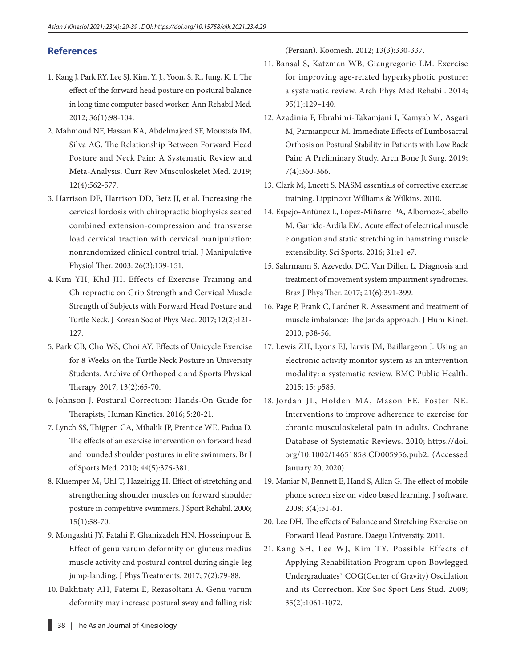### **References**

- 1. Kang J, Park RY, Lee SJ, Kim, Y. J., Yoon, S. R., Jung, K. I. The effect of the forward head posture on postural balance in long time computer based worker. Ann Rehabil Med. 2012; 36(1):98-104.
- 2. Mahmoud NF, Hassan KA, Abdelmajeed SF, Moustafa IM, Silva AG. The Relationship Between Forward Head Posture and Neck Pain: A Systematic Review and Meta-Analysis. Curr Rev Musculoskelet Med. 2019; 12(4):562-577.
- 3. Harrison DE, Harrison DD, Betz JJ, et al. Increasing the cervical lordosis with chiropractic biophysics seated combined extension-compression and transverse load cervical traction with cervical manipulation: nonrandomized clinical control trial. J Manipulative Physiol Ther. 2003: 26(3):139-151.
- 4. Kim YH, Khil JH. Effects of Exercise Training and Chiropractic on Grip Strength and Cervical Muscle Strength of Subjects with Forward Head Posture and Turtle Neck. J Korean Soc of Phys Med. 2017; 12(2):121- 127.
- 5. Park CB, Cho WS, Choi AY. Effects of Unicycle Exercise for 8 Weeks on the Turtle Neck Posture in University Students. Archive of Orthopedic and Sports Physical Therapy. 2017; 13(2):65-70.
- 6. Johnson J. Postural Correction: Hands-On Guide for Therapists, Human Kinetics. 2016; 5:20-21.
- 7. Lynch SS, Thigpen CA, Mihalik JP, Prentice WE, Padua D. The effects of an exercise intervention on forward head and rounded shoulder postures in elite swimmers. Br J of Sports Med. 2010; 44(5):376-381.
- 8. Kluemper M, Uhl T, Hazelrigg H. Effect of stretching and strengthening shoulder muscles on forward shoulder posture in competitive swimmers. J Sport Rehabil. 2006; 15(1):58-70.
- 9. Mongashti JY, Fatahi F, Ghanizadeh HN, Hosseinpour E. Effect of genu varum deformity on gluteus medius muscle activity and postural control during single-leg jump-landing. J Phys Treatments. 2017; 7(2):79-88.
- 10. Bakhtiaty AH, Fatemi E, Rezasoltani A. Genu varum deformity may increase postural sway and falling risk

(Persian). Koomesh. 2012; 13(3):330-337.

- 11. Bansal S, Katzman WB, Giangregorio LM. Exercise for improving age-related hyperkyphotic posture: a systematic review. Arch Phys Med Rehabil. 2014; 95(1):129–140.
- 12. Azadinia F, Ebrahimi-Takamjani I, Kamyab M, Asgari M, Parnianpour M. Immediate Effects of Lumbosacral Orthosis on Postural Stability in Patients with Low Back Pain: A Preliminary Study. Arch Bone Jt Surg. 2019; 7(4):360-366.
- 13. Clark M, Lucett S. NASM essentials of corrective exercise training. Lippincott Williams & Wilkins. 2010.
- 14. Espejo-Antúnez L, López-Miñarro PA, Albornoz-Cabello M, Garrido-Ardila EM. Acute effect of electrical muscle elongation and static stretching in hamstring muscle extensibility. Sci Sports. 2016; 31:e1-e7.
- 15. Sahrmann S, Azevedo, DC, Van Dillen L. Diagnosis and treatment of movement system impairment syndromes. Braz J Phys Ther. 2017; 21(6):391-399.
- 16. Page P, Frank C, Lardner R. Assessment and treatment of muscle imbalance: The Janda approach. J Hum Kinet. 2010, p38-56.
- 17. Lewis ZH, Lyons EJ, Jarvis JM, Baillargeon J. Using an electronic activity monitor system as an intervention modality: a systematic review. BMC Public Health. 2015; 15: p585.
- 18. Jordan JL, Holden MA, Mason EE, Foster NE. Interventions to improve adherence to exercise for chronic musculoskeletal pain in adults. Cochrane Database of Systematic Reviews. 2010; [https://doi.](https://doi.org/10.1002/14651858.CD005956.pub2.%20(Accessed) [org/10.1002/14651858.CD005956.pub2. \(Accessed](https://doi.org/10.1002/14651858.CD005956.pub2.%20(Accessed) January 20, 2020)
- 19. Maniar N, Bennett E, Hand S, Allan G. The effect of mobile phone screen size on video based learning. J software. 2008; 3(4):51-61.
- 20. Lee DH. The effects of Balance and Stretching Exercise on Forward Head Posture. Daegu University. 2011.
- 21. Kang SH, Lee WJ, Kim TY. Possible Effects of Applying Rehabilitation Program upon Bowlegged Undergraduates` COG(Center of Gravity) Oscillation and its Correction. Kor Soc Sport Leis Stud. 2009; 35(2):1061-1072.